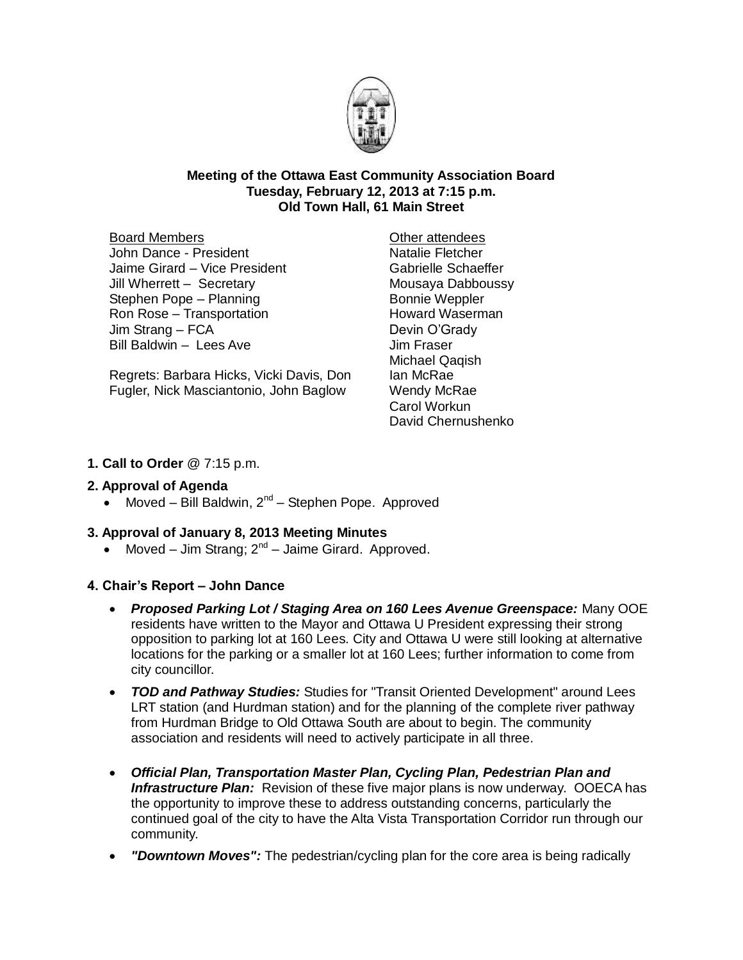

### **Meeting of the Ottawa East Community Association Board Tuesday, February 12, 2013 at 7:15 p.m. Old Town Hall, 61 Main Street**

Board Members John Dance - President Jaime Girard – Vice President Jill Wherrett – Secretary Stephen Pope – Planning Ron Rose – Transportation Jim Strang – FCA Bill Baldwin – Lees Ave

Regrets: Barbara Hicks, Vicki Davis, Don Fugler, Nick Masciantonio, John Baglow

Other attendees Natalie Fletcher Gabrielle Schaeffer Mousaya Dabboussy Bonnie Weppler Howard Waserman Devin O'Grady Jim Fraser Michael Qaqish Ian McRae Wendy McRae Carol Workun David Chernushenko

### **1. Call to Order** @ 7:15 p.m.

### **2. Approval of Agenda**

• Moved – Bill Baldwin,  $2^{nd}$  – Stephen Pope. Approved

### **3. Approval of January 8, 2013 Meeting Minutes**

• Moved – Jim Strang;  $2^{nd}$  – Jaime Girard. Approved.

### **4. Chair's Report – John Dance**

- *Proposed Parking Lot / Staging Area on 160 Lees Avenue Greenspace:* Many OOE residents have written to the Mayor and Ottawa U President expressing their strong opposition to parking lot at 160 Lees. City and Ottawa U were still looking at alternative locations for the parking or a smaller lot at 160 Lees; further information to come from city councillor.
- *TOD and Pathway Studies:* Studies for "Transit Oriented Development" around Lees LRT station (and Hurdman station) and for the planning of the complete river pathway from Hurdman Bridge to Old Ottawa South are about to begin. The community association and residents will need to actively participate in all three.
- *Official Plan, Transportation Master Plan, Cycling Plan, Pedestrian Plan and Infrastructure Plan:* Revision of these five major plans is now underway. OOECA has the opportunity to improve these to address outstanding concerns, particularly the continued goal of the city to have the Alta Vista Transportation Corridor run through our community.
- *"Downtown Moves":* The pedestrian/cycling plan for the core area is being radically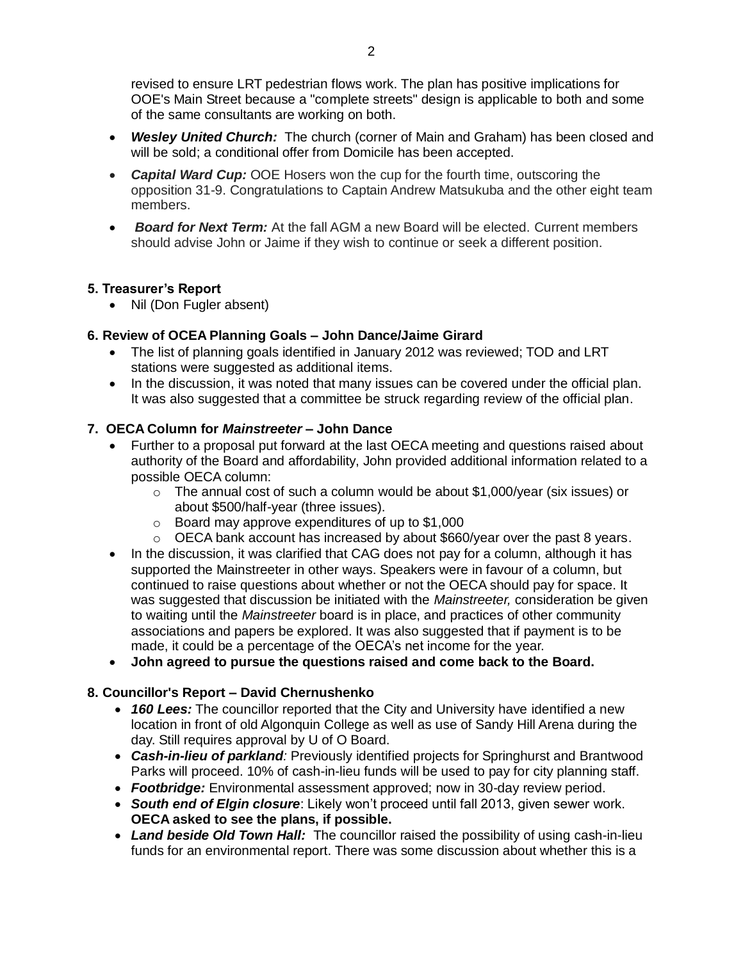revised to ensure LRT pedestrian flows work. The plan has positive implications for OOE's Main Street because a "complete streets" design is applicable to both and some of the same consultants are working on both.

- *Wesley United Church:* The church (corner of Main and Graham) has been closed and will be sold; a conditional offer from Domicile has been accepted.
- *Capital Ward Cup:* OOE Hosers won the cup for the fourth time, outscoring the opposition 31-9. Congratulations to Captain Andrew Matsukuba and the other eight team members.
- *Board for Next Term:* At the fall AGM a new Board will be elected. Current members should advise John or Jaime if they wish to continue or seek a different position.

# **5. Treasurer's Report**

• Nil (Don Fugler absent)

# **6. Review of OCEA Planning Goals – John Dance/Jaime Girard**

- The list of planning goals identified in January 2012 was reviewed; TOD and LRT stations were suggested as additional items.
- In the discussion, it was noted that many issues can be covered under the official plan. It was also suggested that a committee be struck regarding review of the official plan.

# **7. OECA Column for** *Mainstreeter* **– John Dance**

- Further to a proposal put forward at the last OECA meeting and questions raised about authority of the Board and affordability, John provided additional information related to a possible OECA column:
	- $\circ$  The annual cost of such a column would be about \$1,000/year (six issues) or about \$500/half-year (three issues).
	- o Board may approve expenditures of up to \$1,000
	- $\circ$  OECA bank account has increased by about \$660/year over the past 8 years.
- In the discussion, it was clarified that CAG does not pay for a column, although it has supported the Mainstreeter in other ways. Speakers were in favour of a column, but continued to raise questions about whether or not the OECA should pay for space. It was suggested that discussion be initiated with the *Mainstreeter,* consideration be given to waiting until the *Mainstreeter* board is in place, and practices of other community associations and papers be explored. It was also suggested that if payment is to be made, it could be a percentage of the OECA's net income for the year.
- **John agreed to pursue the questions raised and come back to the Board.**

# **8. Councillor's Report – David Chernushenko**

- *160 Lees:* The councillor reported that the City and University have identified a new location in front of old Algonquin College as well as use of Sandy Hill Arena during the day. Still requires approval by U of O Board.
- *Cash-in-lieu of parkland:* Previously identified projects for Springhurst and Brantwood Parks will proceed. 10% of cash-in-lieu funds will be used to pay for city planning staff.
- *Footbridge:* Environmental assessment approved; now in 30-day review period.
- *South end of Elgin closure*: Likely won't proceed until fall 2013, given sewer work. **OECA asked to see the plans, if possible.**
- Land beside Old Town Hall: The councillor raised the possibility of using cash-in-lieu funds for an environmental report. There was some discussion about whether this is a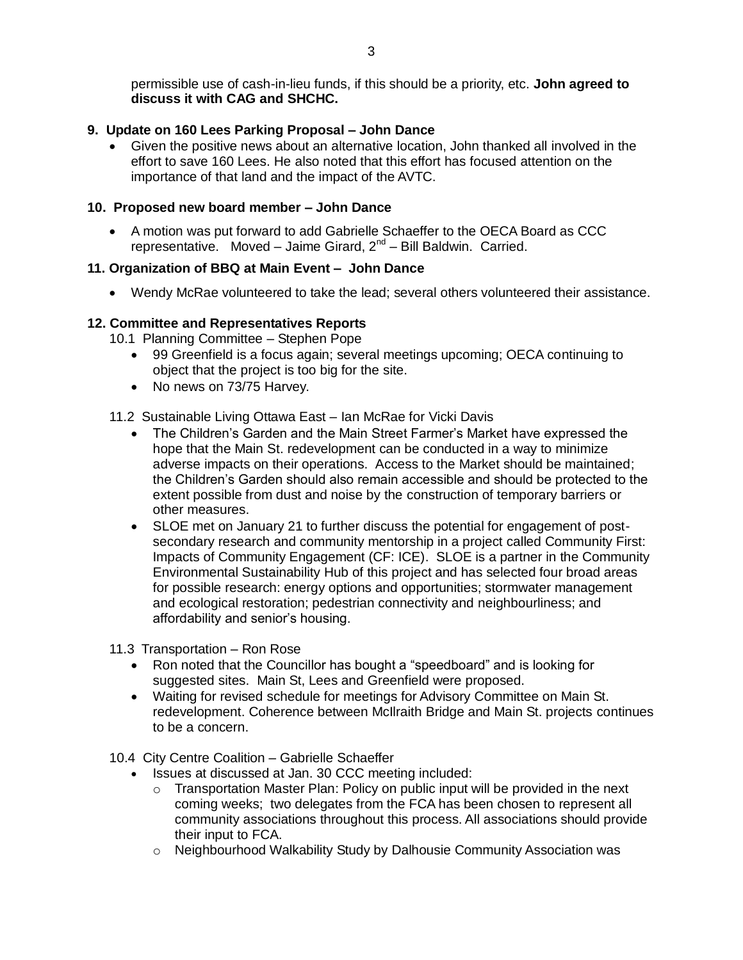permissible use of cash-in-lieu funds, if this should be a priority, etc. **John agreed to discuss it with CAG and SHCHC.**

### **9. Update on 160 Lees Parking Proposal – John Dance**

 Given the positive news about an alternative location, John thanked all involved in the effort to save 160 Lees. He also noted that this effort has focused attention on the importance of that land and the impact of the AVTC.

#### **10. Proposed new board member – John Dance**

 A motion was put forward to add Gabrielle Schaeffer to the OECA Board as CCC representative. Moved – Jaime Girard, 2<sup>nd</sup> – Bill Baldwin. Carried.

### **11. Organization of BBQ at Main Event – John Dance**

Wendy McRae volunteered to take the lead; several others volunteered their assistance.

### **12. Committee and Representatives Reports**

10.1 Planning Committee – Stephen Pope

- 99 Greenfield is a focus again; several meetings upcoming; OECA continuing to object that the project is too big for the site.
- No news on 73/75 Harvey.

11.2 Sustainable Living Ottawa East – Ian McRae for Vicki Davis

- The Children's Garden and the Main Street Farmer's Market have expressed the hope that the Main St. redevelopment can be conducted in a way to minimize adverse impacts on their operations. Access to the Market should be maintained; the Children's Garden should also remain accessible and should be protected to the extent possible from dust and noise by the construction of temporary barriers or other measures.
- SLOE met on January 21 to further discuss the potential for engagement of postsecondary research and community mentorship in a project called Community First: Impacts of Community Engagement (CF: ICE). SLOE is a partner in the Community Environmental Sustainability Hub of this project and has selected four broad areas for possible research: energy options and opportunities; stormwater management and ecological restoration; pedestrian connectivity and neighbourliness; and affordability and senior's housing.

11.3 Transportation – Ron Rose

- Ron noted that the Councillor has bought a "speedboard" and is looking for suggested sites. Main St, Lees and Greenfield were proposed.
- Waiting for revised schedule for meetings for Advisory Committee on Main St. redevelopment. Coherence between McIlraith Bridge and Main St. projects continues to be a concern.

10.4 City Centre Coalition – Gabrielle Schaeffer

- Issues at discussed at Jan. 30 CCC meeting included:
	- $\circ$  Transportation Master Plan: Policy on public input will be provided in the next coming weeks; two delegates from the FCA has been chosen to represent all community associations throughout this process. All associations should provide their input to FCA.
	- o Neighbourhood Walkability Study by Dalhousie Community Association was